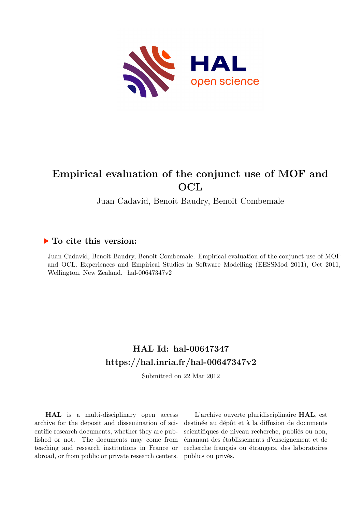

# **Empirical evaluation of the conjunct use of MOF and OCL**

Juan Cadavid, Benoit Baudry, Benoit Combemale

# **To cite this version:**

Juan Cadavid, Benoit Baudry, Benoit Combemale. Empirical evaluation of the conjunct use of MOF and OCL. Experiences and Empirical Studies in Software Modelling (EESSMod 2011), Oct 2011, Wellington, New Zealand. hal-00647347v2

# **HAL Id: hal-00647347 <https://hal.inria.fr/hal-00647347v2>**

Submitted on 22 Mar 2012

**HAL** is a multi-disciplinary open access archive for the deposit and dissemination of scientific research documents, whether they are published or not. The documents may come from teaching and research institutions in France or abroad, or from public or private research centers.

L'archive ouverte pluridisciplinaire **HAL**, est destinée au dépôt et à la diffusion de documents scientifiques de niveau recherche, publiés ou non, émanant des établissements d'enseignement et de recherche français ou étrangers, des laboratoires publics ou privés.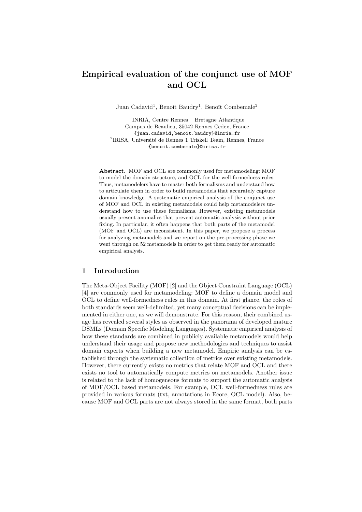# Empirical evaluation of the conjunct use of MOF and OCL

Juan Cadavid<sup>1</sup>, Benoît Baudry<sup>1</sup>, Benoît Combemale<sup>2</sup>

1 INRIA, Centre Rennes – Bretagne Atlantique Campus de Beaulieu, 35042 Rennes Cedex, France {juan.cadavid,benoit.baudry}@inria.fr <sup>2</sup>IRISA, Université de Rennes 1 Triskell Team, Rennes, France {benoit.combemale}@irisa.fr

Abstract. MOF and OCL are commonly used for metamodeling: MOF to model the domain structure, and OCL for the well-formedness rules. Thus, metamodelers have to master both formalisms and understand how to articulate them in order to build metamodels that accurately capture domain knowledge. A systematic empirical analysis of the conjunct use of MOF and OCL in existing metamodels could help metamodelers understand how to use these formalisms. However, existing metamodels usually present anomalies that prevent automatic analysis without prior fixing. In particular, it often happens that both parts of the metamodel (MOF and OCL) are inconsistent. In this paper, we propose a process for analyzing metamodels and we report on the pre-processing phase we went through on 52 metamodels in order to get them ready for automatic empirical analysis.

# 1 Introduction

The Meta-Object Facility (MOF) [2] and the Object Constraint Language (OCL) [4] are commonly used for metamodeling: MOF to define a domain model and OCL to define well-formedness rules in this domain. At first glance, the roles of both standards seem well-delimited, yet many conceptual decisions can be implemented in either one, as we will demonstrate. For this reason, their combined usage has revealed several styles as observed in the panorama of developed mature DSMLs (Domain Specific Modeling Languages). Systematic empirical analysis of how these standards are combined in publicly available metamodels would help understand their usage and propose new methodologies and techniques to assist domain experts when building a new metamodel. Empiric analysis can be established through the systematic collection of metrics over existing metamodels. However, there currently exists no metrics that relate MOF and OCL and there exists no tool to automatically compute metrics on metamodels. Another issue is related to the lack of homogeneous formats to support the automatic analysis of MOF/OCL based metamodels. For example, OCL well-formedness rules are provided in various formats (txt, annotations in Ecore, OCL model). Also, because MOF and OCL parts are not always stored in the same format, both parts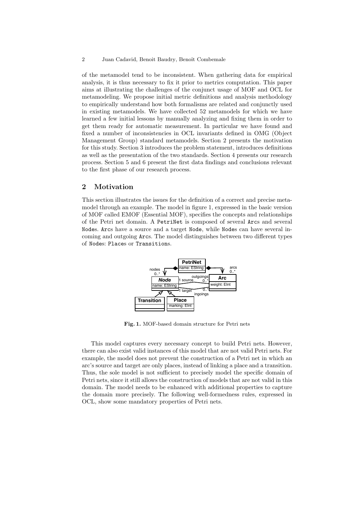of the metamodel tend to be inconsistent. When gathering data for empirical analysis, it is thus necessary to fix it prior to metrics computation. This paper aims at illustrating the challenges of the conjunct usage of MOF and OCL for metamodeling. We propose initial metric definitions and analysis methodology to empirically understand how both formalisms are related and conjunctly used in existing metamodels. We have collected 52 metamodels for which we have learned a few initial lessons by manually analyzing and fixing them in order to get them ready for automatic measurement. In particular we have found and fixed a number of inconsistencies in OCL invariants defined in OMG (Object Management Group) standard metamodels. Section 2 presents the motivation for this study. Section 3 introduces the problem statement, introduces definitions as well as the presentation of the two standards. Section 4 presents our research process. Section 5 and 6 present the first data findings and conclusions relevant to the first phase of our research process.

## 2 Motivation

This section illustrates the issues for the definition of a correct and precise metamodel through an example. The model in figure 1, expressed in the basic version of MOF called EMOF (Essential MOF), specifies the concepts and relationships of the Petri net domain. A PetriNet is composed of several Arcs and several Nodes. Arcs have a source and a target Node, while Nodes can have several incoming and outgoing Arcs. The model distinguishes between two different types of Nodes: Places or Transitions.



Fig. 1. MOF-based domain structure for Petri nets

This model captures every necessary concept to build Petri nets. However, there can also exist valid instances of this model that are not valid Petri nets. For example, the model does not prevent the construction of a Petri net in which an arc's source and target are only places, instead of linking a place and a transition. Thus, the sole model is not sufficient to precisely model the specific domain of Petri nets, since it still allows the construction of models that are not valid in this domain. The model needs to be enhanced with additional properties to capture the domain more precisely. The following well-formedness rules, expressed in OCL, show some mandatory properties of Petri nets.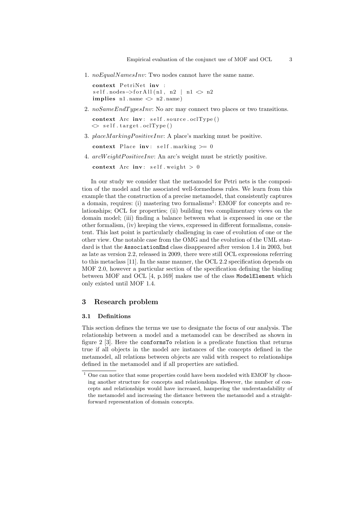1.  $noEqualNamesInv: Two nodes cannot have the same name.$ 

context PetriNet inv : self.nodes->forAll(n1, n2 | n1  $\Diamond$  n2 implies  $n1$ . name  $\langle n2 \rangle$  name)

2. noSameEndTypesInv: No arc may connect two places or two transitions.

 $context$  Arc  $inv: self.source. oclType()$  $\Diamond$  self.target.oclType()

3.  $placeMarking PositiveInv: A place's marking must be positive.$ 

context Place inv: self. marking  $\geq 0$ 

4. arcW eightPositiveInv: An arc's weight must be strictly positive.

context Arc inv: self. weight  $> 0$ 

In our study we consider that the metamodel for Petri nets is the composition of the model and the associated well-formedness rules. We learn from this example that the construction of a precise metamodel, that consistently captures a domain, requires: (i) mastering two formalisms<sup>1</sup>: EMOF for concepts and relationships; OCL for properties; (ii) building two complimentary views on the domain model; (iii) finding a balance between what is expressed in one or the other formalism, (iv) keeping the views, expressed in different formalisms, consistent. This last point is particularly challenging in case of evolution of one or the other view. One notable case from the OMG and the evolution of the UML standard is that the AssociationEnd class disappeared after version 1.4 in 2003, but as late as version 2.2, released in 2009, there were still OCL expressions referring to this metaclass [11]. In the same manner, the OCL 2.2 specification depends on MOF 2.0, however a particular section of the specification defining the binding between MOF and OCL [4, p.169] makes use of the class ModelElement which only existed until MOF 1.4.

### 3 Research problem

#### 3.1 Definitions

This section defines the terms we use to designate the focus of our analysis. The relationship between a model and a metamodel can be described as shown in figure 2 [3]. Here the conformsTo relation is a predicate function that returns true if all objects in the model are instances of the concepts defined in the metamodel, all relations between objects are valid with respect to relationships defined in the metamodel and if all properties are satisfied.

 $^{\rm 1}$  One can notice that some properties could have been modeled with EMOF by choosing another structure for concepts and relationships. However, the number of concepts and relationships would have increased, hampering the understandability of the metamodel and increasing the distance between the metamodel and a straightforward representation of domain concepts.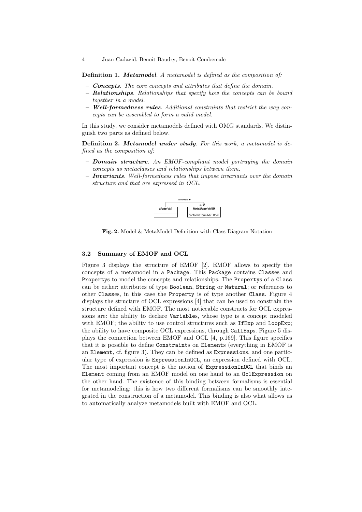Definition 1. Metamodel. A metamodel is defined as the composition of:

- $-$  Concepts. The core concepts and attributes that define the domain.
- Relationships. Relationships that specify how the concepts can be bound together in a model.
- Well-formedness rules. Additional constraints that restrict the way concepts can be assembled to form a valid model.

In this study, we consider metamodels defined with OMG standards. We distinguish two parts as defined below.

Definition 2. Metamodel under study. For this work, a metamodel is defined as the composition of:

- $-$  **Domain structure**. An EMOF-compliant model portraying the domain concepts as metaclasses and relationships between them.
- $-$  Invariants. Well-formedness rules that impose invariants over the domain structure and that are expressed in OCL.



Fig. 2. Model & MetaModel Definition with Class Diagram Notation

#### 3.2 Summary of EMOF and OCL

Figure 3 displays the structure of EMOF [2]. EMOF allows to specify the concepts of a metamodel in a Package. This Package contains Classes and Propertys to model the concepts and relationships. The Propertys of a Class can be either: attributes of type Boolean, String or Natural; or references to other Classes, in this case the Property is of type another Class. Figure 4 displays the structure of OCL expressions [4] that can be used to constrain the structure defined with EMOF. The most noticeable constructs for OCL expressions are: the ability to declare Variables, whose type is a concept modeled with EMOF; the ability to use control structures such as IfExp and LoopExp; the ability to have composite OCL expressions, through CallExps. Figure 5 displays the connection between EMOF and OCL [4, p.169]. This figure specifies that it is possible to define Constraints on Elements (everything in EMOF is an Element, cf. figure 3). They can be defined as Expressions, and one particular type of expression is ExpressionInOCL, an expression defined with OCL. The most important concept is the notion of ExpressionInOCL that binds an Element coming from an EMOF model on one hand to an OclExpression on the other hand. The existence of this binding between formalisms is essential for metamodeling: this is how two different formalisms can be smoothly integrated in the construction of a metamodel. This binding is also what allows us to automatically analyze metamodels built with EMOF and OCL.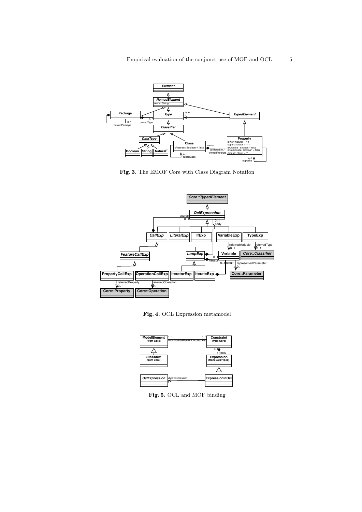

Fig. 3. The EMOF Core with Class Diagram Notation



Fig. 4. OCL Expression metamodel



Fig. 5. OCL and MOF binding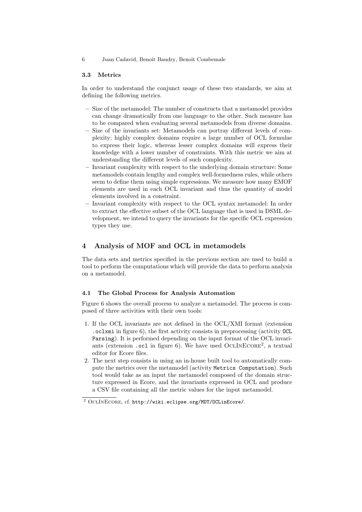#### 3.3 Metrics

In order to understand the conjunct usage of these two standards, we aim at defining the following metrics.

- Size of the metamodel: The number of constructs that a metamodel provides can change dramatically from one language to the other. Such measure has to be compared when evaluating several metamodels from diverse domains.
- Size of the invariants set: Metamodels can portray different levels of complexity; highly complex domains require a large number of OCL formulae to express their logic, whereas lesser complex domains will express their knowledge with a lower number of constraints. With this metric we aim at understanding the different levels of such complexity.
- Invariant complexity with respect to the underlying domain structure: Some metamodels contain lengthy and complex well-formedness rules, while others seem to define them using simple expressions. We measure how many EMOF elements are used in each OCL invariant and thus the quantity of model elements involved in a constraint.
- Invariant complexity with respect to the OCL syntax metamodel: In order to extract the effective subset of the OCL language that is used in DSML development, we intend to query the invariants for the specific OCL expression types they use.

## 4 Analysis of MOF and OCL in metamodels

The data sets and metrics specified in the previous section are used to build a tool to perform the computations which will provide the data to perform analysis on a metamodel.

#### 4.1 The Global Process for Analysis Automation

Figure 6 shows the overall process to analyze a metamodel. The process is composed of three activities with their own tools:

- 1. If the OCL invariants are not defined in the OCL/XMI format (extension .oclxmi in figure 6), the first activity consists in preprocessing (activity OCL Parsing). It is performed depending on the input format of the OCL invariants (extension .ocl in figure 6). We have used OCLINECORE<sup>2</sup>, a textual editor for Ecore files.
- 2. The next step consists in using an in-house built tool to automatically compute the metrics over the metamodel (activity Metrics Computation). Such tool would take as an input the metamodel composed of the domain structure expressed in Ecore, and the invariants expressed in OCL and produce a CSV file containing all the metric values for the input metamodel.

<sup>2</sup> OclInEcore, cf. http://wiki.eclipse.org/MDT/OCLinEcore/.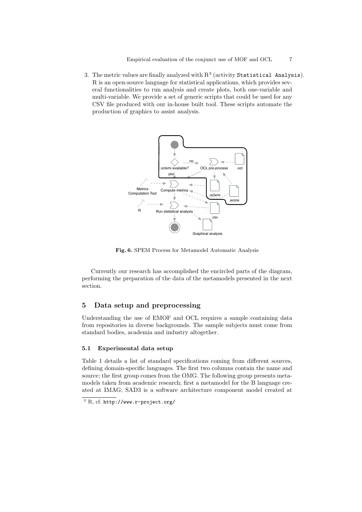3. The metric values are finally analyzed with  $R^3$  (activity Statistical Analysis). R is an open-source language for statistical applications, which provides several functionalities to run analysis and create plots, both one-variable and multi-variable. We provide a set of generic scripts that could be used for any CSV file produced with our in-house built tool. These scripts automate the production of graphics to assist analysis.



Fig. 6. SPEM Process for Metamodel Automatic Analysis

Currently our research has accomplished the encircled parts of the diagram, performing the preparation of the data of the metamodels presented in the next section.

# 5 Data setup and preprocessing

Understanding the use of EMOF and OCL requires a sample containing data from repositories in diverse backgrounds. The sample subjects must come from standard bodies, academia and industry altogether.

## 5.1 Experimental data setup

Table 1 details a list of standard specifications coming from different sources, defining domain-specific languages. The first two columns contain the name and source; the first group comes from the OMG. The following group presents metamodels taken from academic research; first a metamodel for the B language created at IMAG; SAD3 is a software architecture component model created at

<sup>3</sup> R, cf. http://www.r-project.org/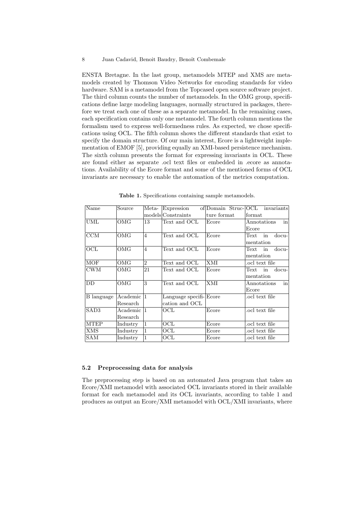ENSTA Bretagne. In the last group, metamodels MTEP and XMS are metamodels created by Thomson Video Networks for encoding standards for video hardware. SAM is a metamodel from the Topcased open source software project. The third column counts the number of metamodels. In the OMG group, specifications define large modeling languages, normally structured in packages, therefore we treat each one of these as a separate metamodel. In the remaining cases, each specification contains only one metamodel. The fourth column mentions the formalism used to express well-formedness rules. As expected, we chose specifications using OCL. The fifth column shows the different standards that exist to specify the domain structure. Of our main interest, Ecore is a lightweight implementation of EMOF [5], providing equally an XMI-based persistence mechanism. The sixth column presents the format for expressing invariants in OCL. These are found either as separate .ocl text files or embedded in .ecore as annotations. Availability of the Ecore format and some of the mentioned forms of OCL invariants are necessary to enable the automation of the metrics computation.

| Name             | Source            | Meta-          | Expression             |             | of Domain Struc-OCL invariants |
|------------------|-------------------|----------------|------------------------|-------------|--------------------------------|
|                  |                   |                | models Constraints     | ture format | format                         |
| UML              | OMG               | 13             | Text and OCL           | Ecore       | in<br>Annotations              |
|                  |                   |                |                        |             | Ecore                          |
| CCM              | OMG               | $\overline{4}$ | Text and OCL           | Ecore       | Text in<br>$docu-$             |
|                  |                   |                |                        |             | mentation                      |
| OCL              | OMG               | $\overline{4}$ | Text and OCL           | Ecore       | Text<br>$docu-$<br>in          |
|                  |                   |                |                        |             | mentation                      |
| MOF              | OMG               | $\overline{2}$ | Text and OCL           | XMI         | ocl text file.                 |
| <b>CWM</b>       | OMG               | 21             | Text and OCL           | Ecore       | $docu-$<br>Text<br>in          |
|                  |                   |                |                        |             | mentation                      |
| DD               | OMG               | 3              | Text and OCL           | <b>XMI</b>  | in<br>Annotations              |
|                  |                   |                |                        |             | Ecore                          |
| B language       | Academic 11       |                | Language specifi-Ecore |             | ocl text file.                 |
|                  | Research          |                | cation and OCL         |             |                                |
| SAD <sub>3</sub> | Academic  1       |                | OCL                    | Ecore       | ocl text file.                 |
|                  | Research          |                |                        |             |                                |
| <b>MTEP</b>      | Industry          | 1              | OCL                    | Ecore       | ocl text file.                 |
| XMS              | $_{\rm Industry}$ | $\vert$ 1      | OCL                    | Ecore       | ocl text file.                 |
| SAM              | Industry          | $\vert$ 1      | $\mathrm{OCL}$         | Ecore       | ocl text file.                 |

Table 1. Specifications containing sample metamodels.

#### 5.2 Preprocessing data for analysis

The preprocessing step is based on an automated Java program that takes an Ecore/XMI metamodel with associated OCL invariants stored in their available format for each metamodel and its OCL invariants, according to table 1 and produces as output an Ecore/XMI metamodel with OCL/XMI invariants, where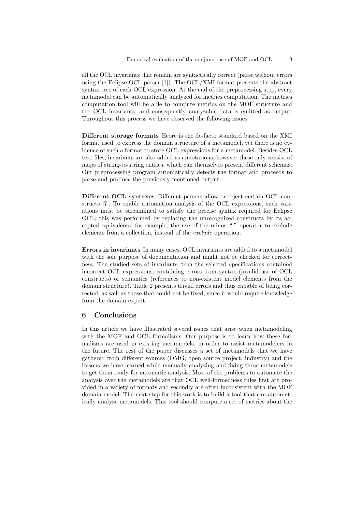all the OCL invariants that remain are syntactically correct (parse without errors using the Eclipse OCL parser [1]). The OCL/XMI format presents the abstract syntax tree of each OCL expression. At the end of the preprocessing step, every metamodel can be automatically analyzed for metrics computation. The metrics computation tool will be able to compute metrics on the MOF structure and the OCL invariants, and consequently analyzable data is emitted as output. Throughout this process we have observed the following issues.

Different storage formats Ecore is the de-facto standard based on the XMI format used to express the domain structure of a metamodel, yet there is no evidence of such a format to store OCL expressions for a metamodel. Besides OCL text files, invariants are also added as annotations; however these only consist of maps of string-to-string entries, which can themselves present different schemas. Our preprocessing program automatically detects the format and proceeds to parse and produce the previously mentioned output.

Different OCL syntaxes Different parsers allow or reject certain OCL constructs [7]. To enable automation analysis of the OCL expressions, such variations must be streamlined to satisfy the precise syntax required for Eclipse OCL; this was performed by replacing the unrecognized constructs by its accepted equivalents; for example, the use of the minus "-" operator to exclude elements from a collection, instead of the exclude operation.

Errors in invariants In many cases, OCL invariants are added to a metamodel with the sole purpose of documentation and might not be checked for correctness. The studied sets of invariants from the selected specifications contained incorrect OCL expressions, containing errors from syntax (invalid use of OCL constructs) or semantics (references to non-existent model elements from the domain structure). Table 2 presents trivial errors and thus capable of being corrected, as well as those that could not be fixed, since it would require knowledge from the domain expert.

# 6 Conclusions

In this article we have illustrated several issues that arise when metamodeling with the MOF and OCL formalisms. Our purpose is to learn how these formalisms are used in existing metamodels, in order to assist metamodelers in the future. The rest of the paper discusses a set of metamodels that we have gathered from different sources (OMG, open source project, industry) and the lessons we have learned while manually analyzing and fixing these metamodels to get them ready for automatic analysis. Most of the problems to automate the analysis over the metamodels are that OCL well-formedness rules first are provided in a variety of formats and secondly are often inconsistent with the MOF domain model. The next step for this work is to build a tool that can automatically analyze metamodels. This tool should compute a set of metrics about the